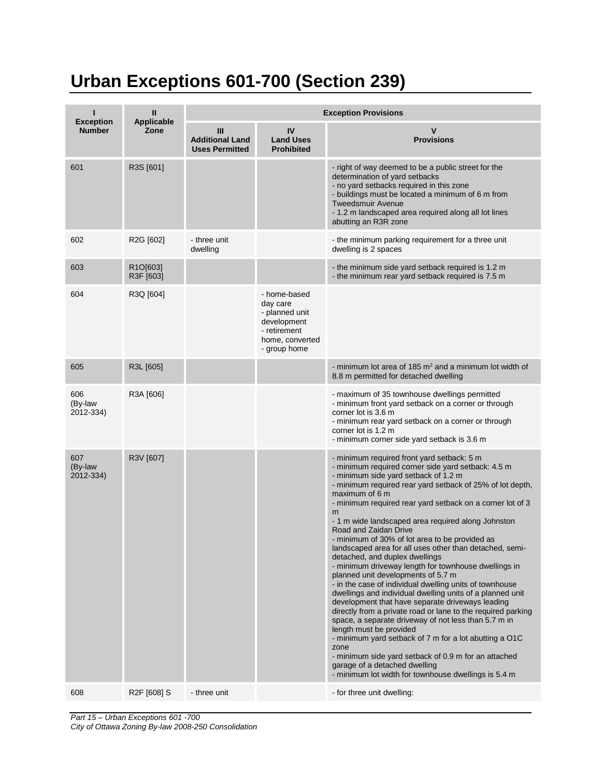## **Urban Exceptions 601-700 (Section 239)**

|                                   | Ш                     | <b>Exception Provisions</b>                          |                                                                                                              |                                                                                                                                                                                                                                                                                                                                                                                                                                                                                                                                                                                                                                                                                                                                                                                                                                                                                                                                                                                                                                                                                                                                                                         |  |
|-----------------------------------|-----------------------|------------------------------------------------------|--------------------------------------------------------------------------------------------------------------|-------------------------------------------------------------------------------------------------------------------------------------------------------------------------------------------------------------------------------------------------------------------------------------------------------------------------------------------------------------------------------------------------------------------------------------------------------------------------------------------------------------------------------------------------------------------------------------------------------------------------------------------------------------------------------------------------------------------------------------------------------------------------------------------------------------------------------------------------------------------------------------------------------------------------------------------------------------------------------------------------------------------------------------------------------------------------------------------------------------------------------------------------------------------------|--|
| <b>Exception</b><br><b>Number</b> | Applicable<br>Zone    | Ш<br><b>Additional Land</b><br><b>Uses Permitted</b> | IV<br><b>Land Uses</b><br><b>Prohibited</b>                                                                  | $\mathbf v$<br><b>Provisions</b>                                                                                                                                                                                                                                                                                                                                                                                                                                                                                                                                                                                                                                                                                                                                                                                                                                                                                                                                                                                                                                                                                                                                        |  |
| 601                               | R3S [601]             |                                                      |                                                                                                              | - right of way deemed to be a public street for the<br>determination of yard setbacks<br>- no yard setbacks required in this zone<br>- buildings must be located a minimum of 6 m from<br><b>Tweedsmuir Avenue</b><br>- 1.2 m landscaped area required along all lot lines<br>abutting an R3R zone                                                                                                                                                                                                                                                                                                                                                                                                                                                                                                                                                                                                                                                                                                                                                                                                                                                                      |  |
| 602                               | R2G [602]             | - three unit<br>dwelling                             |                                                                                                              | - the minimum parking requirement for a three unit<br>dwelling is 2 spaces                                                                                                                                                                                                                                                                                                                                                                                                                                                                                                                                                                                                                                                                                                                                                                                                                                                                                                                                                                                                                                                                                              |  |
| 603                               | R1O[603]<br>R3F [603] |                                                      |                                                                                                              | - the minimum side yard setback required is 1.2 m<br>- the minimum rear yard setback required is 7.5 m                                                                                                                                                                                                                                                                                                                                                                                                                                                                                                                                                                                                                                                                                                                                                                                                                                                                                                                                                                                                                                                                  |  |
| 604                               | R3Q [604]             |                                                      | - home-based<br>day care<br>- planned unit<br>development<br>- retirement<br>home, converted<br>- group home |                                                                                                                                                                                                                                                                                                                                                                                                                                                                                                                                                                                                                                                                                                                                                                                                                                                                                                                                                                                                                                                                                                                                                                         |  |
| 605                               | R3L [605]             |                                                      |                                                                                                              | - minimum lot area of 185 $m2$ and a minimum lot width of<br>8.8 m permitted for detached dwelling                                                                                                                                                                                                                                                                                                                                                                                                                                                                                                                                                                                                                                                                                                                                                                                                                                                                                                                                                                                                                                                                      |  |
| 606<br>(By-law<br>2012-334)       | R3A [606]             |                                                      |                                                                                                              | - maximum of 35 townhouse dwellings permitted<br>- minimum front yard setback on a corner or through<br>corner lot is 3.6 m<br>- minimum rear yard setback on a corner or through<br>corner lot is 1.2 m<br>- minimum corner side yard setback is 3.6 m                                                                                                                                                                                                                                                                                                                                                                                                                                                                                                                                                                                                                                                                                                                                                                                                                                                                                                                 |  |
| 607<br>(By-law<br>2012-334)       | R3V [607]             |                                                      |                                                                                                              | - minimum required front yard setback: 5 m<br>- minimum required corner side yard setback: 4.5 m<br>- minimum side yard setback of 1.2 m<br>- minimum required rear yard setback of 25% of lot depth,<br>maximum of 6 m<br>- minimum required rear yard setback on a corner lot of 3<br>m<br>- 1 m wide landscaped area required along Johnston<br>Road and Zaidan Drive<br>- minimum of 30% of lot area to be provided as<br>landscaped area for all uses other than detached, semi-<br>detached, and duplex dwellings<br>- minimum driveway length for townhouse dwellings in<br>planned unit developments of 5.7 m<br>- in the case of individual dwelling units of townhouse<br>dwellings and individual dwelling units of a planned unit<br>development that have separate driveways leading<br>directly from a private road or lane to the required parking<br>space, a separate driveway of not less than 5.7 m in<br>length must be provided<br>- minimum yard setback of 7 m for a lot abutting a O1C<br>zone<br>- minimum side yard setback of 0.9 m for an attached<br>garage of a detached dwelling<br>- minimum lot width for townhouse dwellings is 5.4 m |  |
| 608                               | R2F [608] S           | - three unit                                         |                                                                                                              | - for three unit dwelling:                                                                                                                                                                                                                                                                                                                                                                                                                                                                                                                                                                                                                                                                                                                                                                                                                                                                                                                                                                                                                                                                                                                                              |  |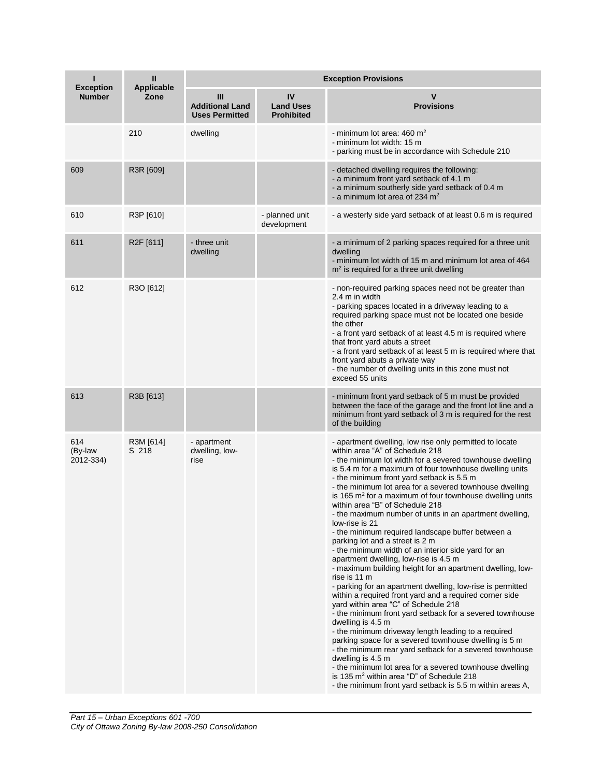| <b>Exception</b>            | Ш<br><b>Applicable</b> | <b>Exception Provisions</b>                          |                                             |                                                                                                                                                                                                                                                                                                                                                                                                                                                                                                                                                                                                                                                                                                                                                                                                                                                                                                                                                                                                                                                                                                                                                                                                                                                                                                                                                                                                                 |  |
|-----------------------------|------------------------|------------------------------------------------------|---------------------------------------------|-----------------------------------------------------------------------------------------------------------------------------------------------------------------------------------------------------------------------------------------------------------------------------------------------------------------------------------------------------------------------------------------------------------------------------------------------------------------------------------------------------------------------------------------------------------------------------------------------------------------------------------------------------------------------------------------------------------------------------------------------------------------------------------------------------------------------------------------------------------------------------------------------------------------------------------------------------------------------------------------------------------------------------------------------------------------------------------------------------------------------------------------------------------------------------------------------------------------------------------------------------------------------------------------------------------------------------------------------------------------------------------------------------------------|--|
| <b>Number</b>               | Zone                   | Ш<br><b>Additional Land</b><br><b>Uses Permitted</b> | IV<br><b>Land Uses</b><br><b>Prohibited</b> | v<br><b>Provisions</b>                                                                                                                                                                                                                                                                                                                                                                                                                                                                                                                                                                                                                                                                                                                                                                                                                                                                                                                                                                                                                                                                                                                                                                                                                                                                                                                                                                                          |  |
|                             | 210                    | dwelling                                             |                                             | - minimum lot area: $460 \text{ m}^2$<br>- minimum lot width: 15 m<br>- parking must be in accordance with Schedule 210                                                                                                                                                                                                                                                                                                                                                                                                                                                                                                                                                                                                                                                                                                                                                                                                                                                                                                                                                                                                                                                                                                                                                                                                                                                                                         |  |
| 609                         | R3R [609]              |                                                      |                                             | - detached dwelling requires the following:<br>- a minimum front yard setback of 4.1 m<br>- a minimum southerly side yard setback of 0.4 m<br>- a minimum lot area of 234 $m2$                                                                                                                                                                                                                                                                                                                                                                                                                                                                                                                                                                                                                                                                                                                                                                                                                                                                                                                                                                                                                                                                                                                                                                                                                                  |  |
| 610                         | R3P [610]              |                                                      | - planned unit<br>development               | - a westerly side yard setback of at least 0.6 m is required                                                                                                                                                                                                                                                                                                                                                                                                                                                                                                                                                                                                                                                                                                                                                                                                                                                                                                                                                                                                                                                                                                                                                                                                                                                                                                                                                    |  |
| 611                         | R2F [611]              | - three unit<br>dwelling                             |                                             | - a minimum of 2 parking spaces required for a three unit<br>dwelling<br>- minimum lot width of 15 m and minimum lot area of 464<br>$m2$ is required for a three unit dwelling                                                                                                                                                                                                                                                                                                                                                                                                                                                                                                                                                                                                                                                                                                                                                                                                                                                                                                                                                                                                                                                                                                                                                                                                                                  |  |
| 612                         | R3O [612]              |                                                      |                                             | - non-required parking spaces need not be greater than<br>2.4 m in width<br>- parking spaces located in a driveway leading to a<br>required parking space must not be located one beside<br>the other<br>- a front yard setback of at least 4.5 m is required where<br>that front yard abuts a street<br>- a front yard setback of at least 5 m is required where that<br>front yard abuts a private way<br>- the number of dwelling units in this zone must not<br>exceed 55 units                                                                                                                                                                                                                                                                                                                                                                                                                                                                                                                                                                                                                                                                                                                                                                                                                                                                                                                             |  |
| 613                         | R3B [613]              |                                                      |                                             | - minimum front yard setback of 5 m must be provided<br>between the face of the garage and the front lot line and a<br>minimum front yard setback of 3 m is required for the rest<br>of the building                                                                                                                                                                                                                                                                                                                                                                                                                                                                                                                                                                                                                                                                                                                                                                                                                                                                                                                                                                                                                                                                                                                                                                                                            |  |
| 614<br>(By-law<br>2012-334) | R3M [614]<br>S 218     | - apartment<br>dwelling, low-<br>rise                |                                             | - apartment dwelling, low rise only permitted to locate<br>within area "A" of Schedule 218<br>- the minimum lot width for a severed townhouse dwelling<br>is 5.4 m for a maximum of four townhouse dwelling units<br>- the minimum front yard setback is 5.5 m<br>- the minimum lot area for a severed townhouse dwelling<br>is 165 $m2$ for a maximum of four townhouse dwelling units<br>within area "B" of Schedule 218<br>- the maximum number of units in an apartment dwelling,<br>low-rise is 21<br>- the minimum required landscape buffer between a<br>parking lot and a street is 2 m<br>- the minimum width of an interior side yard for an<br>apartment dwelling, low-rise is 4.5 m<br>- maximum building height for an apartment dwelling, low-<br>rise is 11 m<br>- parking for an apartment dwelling, low-rise is permitted<br>within a required front yard and a required corner side<br>yard within area "C" of Schedule 218<br>- the minimum front yard setback for a severed townhouse<br>dwelling is 4.5 m<br>- the minimum driveway length leading to a required<br>parking space for a severed townhouse dwelling is 5 m<br>- the minimum rear yard setback for a severed townhouse<br>dwelling is 4.5 m<br>- the minimum lot area for a severed townhouse dwelling<br>is 135 m <sup>2</sup> within area "D" of Schedule 218<br>- the minimum front yard setback is 5.5 m within areas A, |  |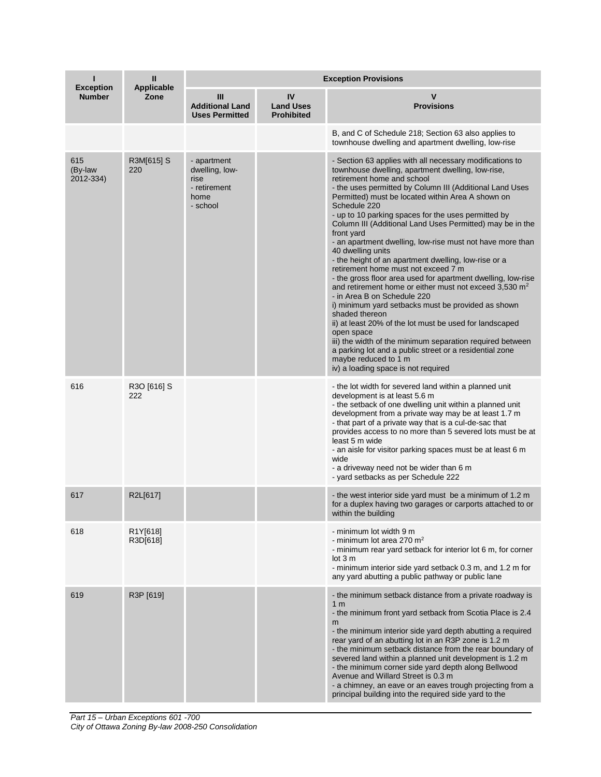| <b>Exception</b>            | Ш<br><b>Applicable</b> | <b>Exception Provisions</b>                                               |                                             |                                                                                                                                                                                                                                                                                                                                                                                                                                                                                                                                                                                                                                                                                                                                                                                                                                                                                                                                                                                                                                                                                                              |  |
|-----------------------------|------------------------|---------------------------------------------------------------------------|---------------------------------------------|--------------------------------------------------------------------------------------------------------------------------------------------------------------------------------------------------------------------------------------------------------------------------------------------------------------------------------------------------------------------------------------------------------------------------------------------------------------------------------------------------------------------------------------------------------------------------------------------------------------------------------------------------------------------------------------------------------------------------------------------------------------------------------------------------------------------------------------------------------------------------------------------------------------------------------------------------------------------------------------------------------------------------------------------------------------------------------------------------------------|--|
| <b>Number</b>               | Zone                   | Ш<br><b>Additional Land</b><br><b>Uses Permitted</b>                      | IV<br><b>Land Uses</b><br><b>Prohibited</b> | v<br><b>Provisions</b>                                                                                                                                                                                                                                                                                                                                                                                                                                                                                                                                                                                                                                                                                                                                                                                                                                                                                                                                                                                                                                                                                       |  |
|                             |                        |                                                                           |                                             | B, and C of Schedule 218; Section 63 also applies to<br>townhouse dwelling and apartment dwelling, low-rise                                                                                                                                                                                                                                                                                                                                                                                                                                                                                                                                                                                                                                                                                                                                                                                                                                                                                                                                                                                                  |  |
| 615<br>(By-law<br>2012-334) | R3M[615] S<br>220      | - apartment<br>dwelling, low-<br>rise<br>- retirement<br>home<br>- school |                                             | - Section 63 applies with all necessary modifications to<br>townhouse dwelling, apartment dwelling, low-rise,<br>retirement home and school<br>- the uses permitted by Column III (Additional Land Uses<br>Permitted) must be located within Area A shown on<br>Schedule 220<br>- up to 10 parking spaces for the uses permitted by<br>Column III (Additional Land Uses Permitted) may be in the<br>front yard<br>- an apartment dwelling, low-rise must not have more than<br>40 dwelling units<br>- the height of an apartment dwelling, low-rise or a<br>retirement home must not exceed 7 m<br>- the gross floor area used for apartment dwelling, low-rise<br>and retirement home or either must not exceed 3,530 m <sup>2</sup><br>- in Area B on Schedule 220<br>i) minimum yard setbacks must be provided as shown<br>shaded thereon<br>ii) at least 20% of the lot must be used for landscaped<br>open space<br>iii) the width of the minimum separation required between<br>a parking lot and a public street or a residential zone<br>maybe reduced to 1 m<br>iv) a loading space is not required |  |
| 616                         | R3O [616] S<br>222     |                                                                           |                                             | - the lot width for severed land within a planned unit<br>development is at least 5.6 m<br>- the setback of one dwelling unit within a planned unit<br>development from a private way may be at least 1.7 m<br>- that part of a private way that is a cul-de-sac that<br>provides access to no more than 5 severed lots must be at<br>least 5 m wide<br>- an aisle for visitor parking spaces must be at least 6 m<br>wide<br>- a driveway need not be wider than 6 m<br>- yard setbacks as per Schedule 222                                                                                                                                                                                                                                                                                                                                                                                                                                                                                                                                                                                                 |  |
| 617                         | R2L[617]               |                                                                           |                                             | - the west interior side yard must be a minimum of 1.2 m<br>for a duplex having two garages or carports attached to or<br>within the building                                                                                                                                                                                                                                                                                                                                                                                                                                                                                                                                                                                                                                                                                                                                                                                                                                                                                                                                                                |  |
| 618                         | R1Y[618]<br>R3D[618]   |                                                                           |                                             | - minimum lot width 9 m<br>- minimum lot area 270 $m2$<br>- minimum rear yard setback for interior lot 6 m, for corner<br>lot <sub>3</sub> m<br>- minimum interior side yard setback 0.3 m, and 1.2 m for<br>any yard abutting a public pathway or public lane                                                                                                                                                                                                                                                                                                                                                                                                                                                                                                                                                                                                                                                                                                                                                                                                                                               |  |
| 619                         | R3P [619]              |                                                                           |                                             | - the minimum setback distance from a private roadway is<br>1 <sub>m</sub><br>- the minimum front yard setback from Scotia Place is 2.4<br>m<br>- the minimum interior side yard depth abutting a required<br>rear yard of an abutting lot in an R3P zone is 1.2 m<br>- the minimum setback distance from the rear boundary of<br>severed land within a planned unit development is 1.2 m<br>- the minimum corner side yard depth along Bellwood<br>Avenue and Willard Street is 0.3 m<br>- a chimney, an eave or an eaves trough projecting from a<br>principal building into the required side yard to the                                                                                                                                                                                                                                                                                                                                                                                                                                                                                                 |  |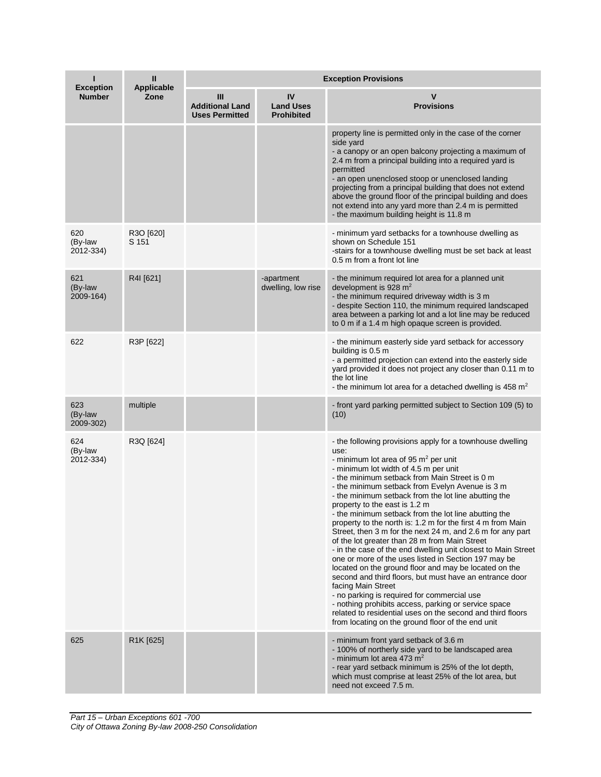| <b>Exception</b>            | Ш<br><b>Applicable</b> | <b>Exception Provisions</b>                          |                                             |                                                                                                                                                                                                                                                                                                                                                                                                                                                                                                                                                                                                                                                                                                                                                                                                                                                                                                                                                                                                                                                                                      |  |
|-----------------------------|------------------------|------------------------------------------------------|---------------------------------------------|--------------------------------------------------------------------------------------------------------------------------------------------------------------------------------------------------------------------------------------------------------------------------------------------------------------------------------------------------------------------------------------------------------------------------------------------------------------------------------------------------------------------------------------------------------------------------------------------------------------------------------------------------------------------------------------------------------------------------------------------------------------------------------------------------------------------------------------------------------------------------------------------------------------------------------------------------------------------------------------------------------------------------------------------------------------------------------------|--|
| <b>Number</b>               | Zone                   | Ш<br><b>Additional Land</b><br><b>Uses Permitted</b> | IV<br><b>Land Uses</b><br><b>Prohibited</b> | ν<br><b>Provisions</b>                                                                                                                                                                                                                                                                                                                                                                                                                                                                                                                                                                                                                                                                                                                                                                                                                                                                                                                                                                                                                                                               |  |
|                             |                        |                                                      |                                             | property line is permitted only in the case of the corner<br>side yard<br>- a canopy or an open balcony projecting a maximum of<br>2.4 m from a principal building into a required yard is<br>permitted<br>- an open unenclosed stoop or unenclosed landing<br>projecting from a principal building that does not extend<br>above the ground floor of the principal building and does<br>not extend into any yard more than 2.4 m is permitted<br>- the maximum building height is 11.8 m                                                                                                                                                                                                                                                                                                                                                                                                                                                                                                                                                                                            |  |
| 620<br>(By-law<br>2012-334) | R3O [620]<br>S 151     |                                                      |                                             | - minimum yard setbacks for a townhouse dwelling as<br>shown on Schedule 151<br>-stairs for a townhouse dwelling must be set back at least<br>0.5 m from a front lot line                                                                                                                                                                                                                                                                                                                                                                                                                                                                                                                                                                                                                                                                                                                                                                                                                                                                                                            |  |
| 621<br>(By-law<br>2009-164) | R4I [621]              |                                                      | -apartment<br>dwelling, low rise            | - the minimum required lot area for a planned unit<br>development is 928 m <sup>2</sup><br>- the minimum required driveway width is 3 m<br>- despite Section 110, the minimum required landscaped<br>area between a parking lot and a lot line may be reduced<br>to 0 m if a 1.4 m high opaque screen is provided.                                                                                                                                                                                                                                                                                                                                                                                                                                                                                                                                                                                                                                                                                                                                                                   |  |
| 622                         | R3P [622]              |                                                      |                                             | - the minimum easterly side yard setback for accessory<br>building is 0.5 m<br>- a permitted projection can extend into the easterly side<br>yard provided it does not project any closer than 0.11 m to<br>the lot line<br>- the minimum lot area for a detached dwelling is 458 $m2$                                                                                                                                                                                                                                                                                                                                                                                                                                                                                                                                                                                                                                                                                                                                                                                               |  |
| 623<br>(By-law<br>2009-302) | multiple               |                                                      |                                             | - front yard parking permitted subject to Section 109 (5) to<br>(10)                                                                                                                                                                                                                                                                                                                                                                                                                                                                                                                                                                                                                                                                                                                                                                                                                                                                                                                                                                                                                 |  |
| 624<br>(By-law<br>2012-334) | R3Q [624]              |                                                      |                                             | - the following provisions apply for a townhouse dwelling<br>use:<br>- minimum lot area of 95 $m2$ per unit<br>- minimum lot width of 4.5 m per unit<br>- the minimum setback from Main Street is 0 m<br>- the minimum setback from Evelyn Avenue is 3 m<br>- the minimum setback from the lot line abutting the<br>property to the east is 1.2 m<br>- the minimum setback from the lot line abutting the<br>property to the north is: 1.2 m for the first 4 m from Main<br>Street, then 3 m for the next 24 m, and 2.6 m for any part<br>of the lot greater than 28 m from Main Street<br>- in the case of the end dwelling unit closest to Main Street<br>one or more of the uses listed in Section 197 may be<br>located on the ground floor and may be located on the<br>second and third floors, but must have an entrance door<br>facing Main Street<br>- no parking is required for commercial use<br>- nothing prohibits access, parking or service space<br>related to residential uses on the second and third floors<br>from locating on the ground floor of the end unit |  |
| 625                         | R1K [625]              |                                                      |                                             | - minimum front yard setback of 3.6 m<br>- 100% of northerly side yard to be landscaped area<br>- minimum lot area 473 $m2$<br>- rear yard setback minimum is 25% of the lot depth,<br>which must comprise at least 25% of the lot area, but<br>need not exceed 7.5 m.                                                                                                                                                                                                                                                                                                                                                                                                                                                                                                                                                                                                                                                                                                                                                                                                               |  |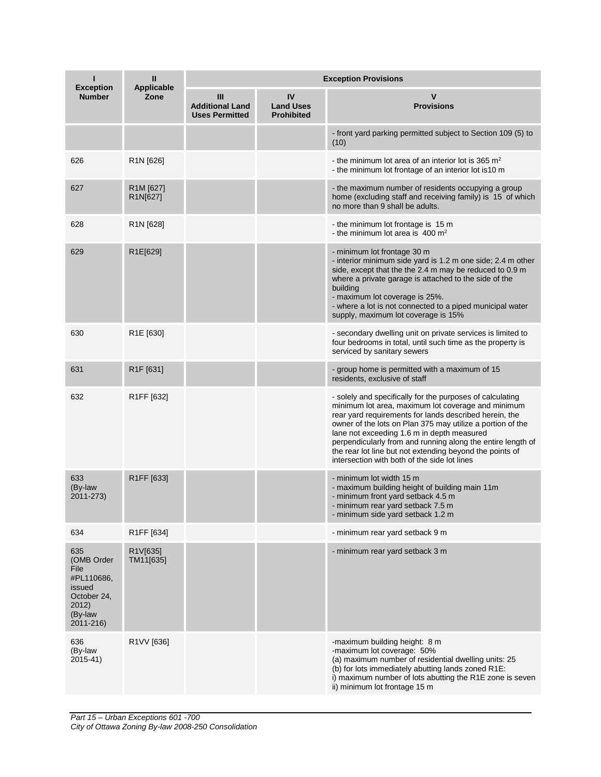| <b>Exception</b>                                                                                  | Ш<br><b>Applicable</b>                        | <b>Exception Provisions</b>                          |                                             |                                                                                                                                                                                                                                                                                                                                                                                                                                                                  |  |  |
|---------------------------------------------------------------------------------------------------|-----------------------------------------------|------------------------------------------------------|---------------------------------------------|------------------------------------------------------------------------------------------------------------------------------------------------------------------------------------------------------------------------------------------------------------------------------------------------------------------------------------------------------------------------------------------------------------------------------------------------------------------|--|--|
| <b>Number</b>                                                                                     | Zone                                          | Ш<br><b>Additional Land</b><br><b>Uses Permitted</b> | IV<br><b>Land Uses</b><br><b>Prohibited</b> | <b>Provisions</b>                                                                                                                                                                                                                                                                                                                                                                                                                                                |  |  |
|                                                                                                   |                                               |                                                      |                                             | - front yard parking permitted subject to Section 109 (5) to<br>(10)                                                                                                                                                                                                                                                                                                                                                                                             |  |  |
| 626                                                                                               | R <sub>1</sub> N [626]                        |                                                      |                                             | - the minimum lot area of an interior lot is 365 $m2$<br>- the minimum lot frontage of an interior lot is10 m                                                                                                                                                                                                                                                                                                                                                    |  |  |
| 627                                                                                               | R <sub>1</sub> M <sub>[627]</sub><br>R1N[627] |                                                      |                                             | - the maximum number of residents occupying a group<br>home (excluding staff and receiving family) is 15 of which<br>no more than 9 shall be adults.                                                                                                                                                                                                                                                                                                             |  |  |
| 628                                                                                               | R <sub>1</sub> N [628]                        |                                                      |                                             | - the minimum lot frontage is 15 m<br>- the minimum lot area is 400 $m2$                                                                                                                                                                                                                                                                                                                                                                                         |  |  |
| 629                                                                                               | R1E[629]                                      |                                                      |                                             | - minimum lot frontage 30 m<br>- interior minimum side yard is 1.2 m one side; 2.4 m other<br>side, except that the the 2.4 m may be reduced to 0.9 m<br>where a private garage is attached to the side of the<br>building<br>- maximum lot coverage is 25%.<br>- where a lot is not connected to a piped municipal water<br>supply, maximum lot coverage is 15%                                                                                                 |  |  |
| 630                                                                                               | R1E [630]                                     |                                                      |                                             | - secondary dwelling unit on private services is limited to<br>four bedrooms in total, until such time as the property is<br>serviced by sanitary sewers                                                                                                                                                                                                                                                                                                         |  |  |
| 631                                                                                               | R <sub>1</sub> F [631]                        |                                                      |                                             | - group home is permitted with a maximum of 15<br>residents, exclusive of staff                                                                                                                                                                                                                                                                                                                                                                                  |  |  |
| 632                                                                                               | R <sub>1</sub> FF [632]                       |                                                      |                                             | - solely and specifically for the purposes of calculating<br>minimum lot area, maximum lot coverage and minimum<br>rear yard requirements for lands described herein, the<br>owner of the lots on Plan 375 may utilize a portion of the<br>lane not exceeding 1.6 m in depth measured<br>perpendicularly from and running along the entire length of<br>the rear lot line but not extending beyond the points of<br>intersection with both of the side lot lines |  |  |
| 633<br>(By-law<br>2011-273)                                                                       | R1FF [633]                                    |                                                      |                                             | - minimum lot width 15 m<br>- maximum building height of building main 11m<br>- minimum front yard setback 4.5 m<br>- minimum rear yard setback 7.5 m<br>- minimum side yard setback 1.2 m                                                                                                                                                                                                                                                                       |  |  |
| 634                                                                                               | R <sub>1</sub> FF [634]                       |                                                      |                                             | - minimum rear yard setback 9 m                                                                                                                                                                                                                                                                                                                                                                                                                                  |  |  |
| 635<br>(OMB Order<br>File<br>#PL110686,<br>issued<br>October 24,<br>2012)<br>(By-law<br>2011-216) | R1V[635]<br>TM11[635]                         |                                                      |                                             | - minimum rear yard setback 3 m                                                                                                                                                                                                                                                                                                                                                                                                                                  |  |  |
| 636<br>(By-law<br>2015-41)                                                                        | R1VV [636]                                    |                                                      |                                             | -maximum building height: 8 m<br>-maximum lot coverage: 50%<br>(a) maximum number of residential dwelling units: 25<br>(b) for lots immediately abutting lands zoned R1E:<br>i) maximum number of lots abutting the R1E zone is seven<br>ii) minimum lot frontage 15 m                                                                                                                                                                                           |  |  |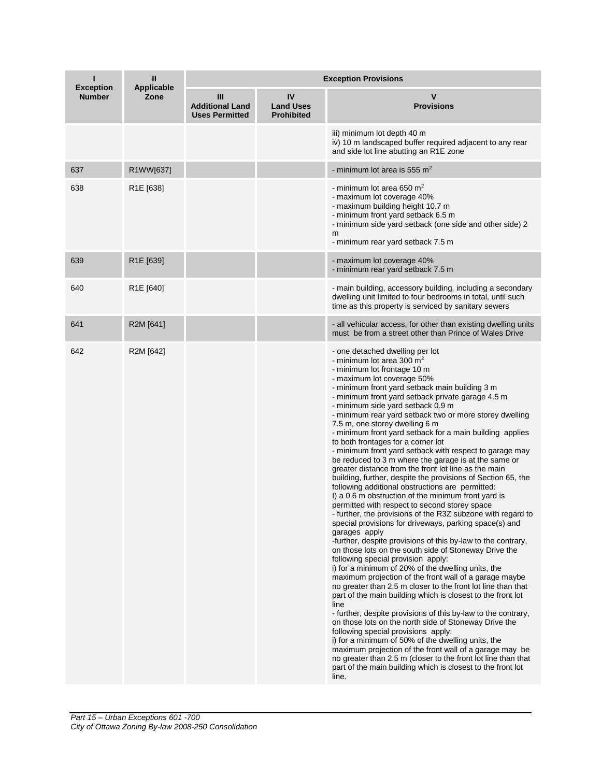| <b>Exception</b> | Ш<br>Applicable        | <b>Exception Provisions</b>                          |                                             |                                                                                                                                                                                                                                                                                                                                                                                                                                                                                                                                                                                                                                                                                                                                                                                                                                                                                                                                                                                                                                                                                                                                                                                                                                                                                                                                                                                                                                                                                                                                                                                                                                                                                                                                                                                                                                                                          |  |
|------------------|------------------------|------------------------------------------------------|---------------------------------------------|--------------------------------------------------------------------------------------------------------------------------------------------------------------------------------------------------------------------------------------------------------------------------------------------------------------------------------------------------------------------------------------------------------------------------------------------------------------------------------------------------------------------------------------------------------------------------------------------------------------------------------------------------------------------------------------------------------------------------------------------------------------------------------------------------------------------------------------------------------------------------------------------------------------------------------------------------------------------------------------------------------------------------------------------------------------------------------------------------------------------------------------------------------------------------------------------------------------------------------------------------------------------------------------------------------------------------------------------------------------------------------------------------------------------------------------------------------------------------------------------------------------------------------------------------------------------------------------------------------------------------------------------------------------------------------------------------------------------------------------------------------------------------------------------------------------------------------------------------------------------------|--|
| <b>Number</b>    | Zone                   | Ш<br><b>Additional Land</b><br><b>Uses Permitted</b> | IV<br><b>Land Uses</b><br><b>Prohibited</b> | <b>Provisions</b>                                                                                                                                                                                                                                                                                                                                                                                                                                                                                                                                                                                                                                                                                                                                                                                                                                                                                                                                                                                                                                                                                                                                                                                                                                                                                                                                                                                                                                                                                                                                                                                                                                                                                                                                                                                                                                                        |  |
|                  |                        |                                                      |                                             | iii) minimum lot depth 40 m<br>iv) 10 m landscaped buffer required adjacent to any rear<br>and side lot line abutting an R1E zone                                                                                                                                                                                                                                                                                                                                                                                                                                                                                                                                                                                                                                                                                                                                                                                                                                                                                                                                                                                                                                                                                                                                                                                                                                                                                                                                                                                                                                                                                                                                                                                                                                                                                                                                        |  |
| 637              | R1WW[637]              |                                                      |                                             | - minimum lot area is 555 $m2$                                                                                                                                                                                                                                                                                                                                                                                                                                                                                                                                                                                                                                                                                                                                                                                                                                                                                                                                                                                                                                                                                                                                                                                                                                                                                                                                                                                                                                                                                                                                                                                                                                                                                                                                                                                                                                           |  |
| 638              | R <sub>1</sub> E [638] |                                                      |                                             | - minimum lot area 650 m <sup>2</sup><br>- maximum lot coverage 40%<br>- maximum building height 10.7 m<br>- minimum front yard setback 6.5 m<br>- minimum side yard setback (one side and other side) 2<br>m<br>- minimum rear yard setback 7.5 m                                                                                                                                                                                                                                                                                                                                                                                                                                                                                                                                                                                                                                                                                                                                                                                                                                                                                                                                                                                                                                                                                                                                                                                                                                                                                                                                                                                                                                                                                                                                                                                                                       |  |
| 639              | R1E [639]              |                                                      |                                             | - maximum lot coverage 40%<br>- minimum rear yard setback 7.5 m                                                                                                                                                                                                                                                                                                                                                                                                                                                                                                                                                                                                                                                                                                                                                                                                                                                                                                                                                                                                                                                                                                                                                                                                                                                                                                                                                                                                                                                                                                                                                                                                                                                                                                                                                                                                          |  |
| 640              | R <sub>1</sub> E [640] |                                                      |                                             | - main building, accessory building, including a secondary<br>dwelling unit limited to four bedrooms in total, until such<br>time as this property is serviced by sanitary sewers                                                                                                                                                                                                                                                                                                                                                                                                                                                                                                                                                                                                                                                                                                                                                                                                                                                                                                                                                                                                                                                                                                                                                                                                                                                                                                                                                                                                                                                                                                                                                                                                                                                                                        |  |
| 641              | R2M [641]              |                                                      |                                             | - all vehicular access, for other than existing dwelling units<br>must be from a street other than Prince of Wales Drive                                                                                                                                                                                                                                                                                                                                                                                                                                                                                                                                                                                                                                                                                                                                                                                                                                                                                                                                                                                                                                                                                                                                                                                                                                                                                                                                                                                                                                                                                                                                                                                                                                                                                                                                                 |  |
| 642              | R2M [642]              |                                                      |                                             | - one detached dwelling per lot<br>- minimum lot area 300 $m2$<br>- minimum lot frontage 10 m<br>- maximum lot coverage 50%<br>- minimum front yard setback main building 3 m<br>- minimum front yard setback private garage 4.5 m<br>- minimum side yard setback 0.9 m<br>- minimum rear yard setback two or more storey dwelling<br>7.5 m, one storey dwelling 6 m<br>- minimum front yard setback for a main building applies<br>to both frontages for a corner lot<br>- minimum front yard setback with respect to garage may<br>be reduced to 3 m where the garage is at the same or<br>greater distance from the front lot line as the main<br>building, further, despite the provisions of Section 65, the<br>following additional obstructions are permitted:<br>I) a 0.6 m obstruction of the minimum front yard is<br>permitted with respect to second storey space<br>- further, the provisions of the R3Z subzone with regard to<br>special provisions for driveways, parking space(s) and<br>garages apply<br>-further, despite provisions of this by-law to the contrary,<br>on those lots on the south side of Stoneway Drive the<br>following special provision apply:<br>i) for a minimum of 20% of the dwelling units, the<br>maximum projection of the front wall of a garage maybe<br>no greater than 2.5 m closer to the front lot line than that<br>part of the main building which is closest to the front lot<br>line<br>- further, despite provisions of this by-law to the contrary,<br>on those lots on the north side of Stoneway Drive the<br>following special provisions apply:<br>i) for a minimum of 50% of the dwelling units, the<br>maximum projection of the front wall of a garage may be<br>no greater than 2.5 m (closer to the front lot line than that<br>part of the main building which is closest to the front lot<br>line. |  |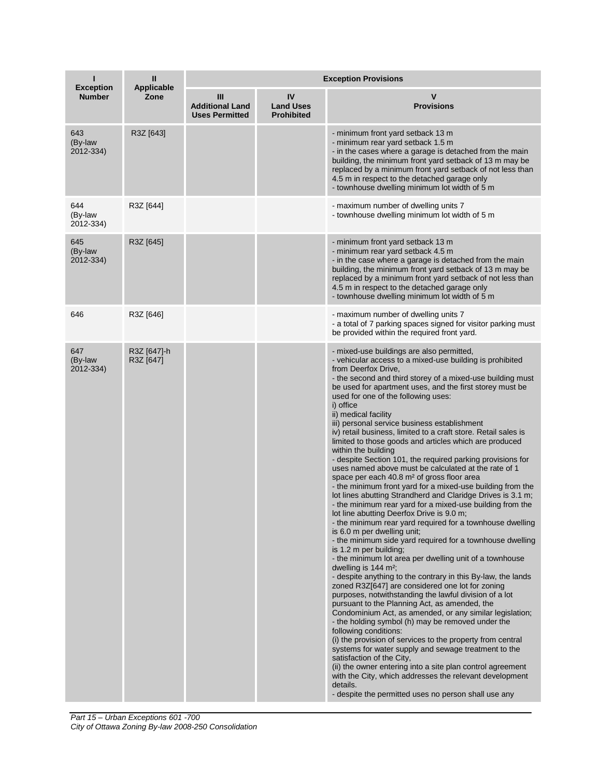| ı<br><b>Exception</b>       | Ш<br><b>Applicable</b>   | <b>Exception Provisions</b>                          |                                             |                                                                                                                                                                                                                                                                                                                                                                                                                                                                                                                                                                                                                                                                                                                                                                                                                                                                                                                                                                                                                                                                                                                                                                                                                                                                                                                                                                                                                                                                                                                                                                                                                                                                                                                                                                                                                                                                                                                                                                        |  |
|-----------------------------|--------------------------|------------------------------------------------------|---------------------------------------------|------------------------------------------------------------------------------------------------------------------------------------------------------------------------------------------------------------------------------------------------------------------------------------------------------------------------------------------------------------------------------------------------------------------------------------------------------------------------------------------------------------------------------------------------------------------------------------------------------------------------------------------------------------------------------------------------------------------------------------------------------------------------------------------------------------------------------------------------------------------------------------------------------------------------------------------------------------------------------------------------------------------------------------------------------------------------------------------------------------------------------------------------------------------------------------------------------------------------------------------------------------------------------------------------------------------------------------------------------------------------------------------------------------------------------------------------------------------------------------------------------------------------------------------------------------------------------------------------------------------------------------------------------------------------------------------------------------------------------------------------------------------------------------------------------------------------------------------------------------------------------------------------------------------------------------------------------------------------|--|
| <b>Number</b>               | Zone                     | Ш<br><b>Additional Land</b><br><b>Uses Permitted</b> | IV<br><b>Land Uses</b><br><b>Prohibited</b> | V<br><b>Provisions</b>                                                                                                                                                                                                                                                                                                                                                                                                                                                                                                                                                                                                                                                                                                                                                                                                                                                                                                                                                                                                                                                                                                                                                                                                                                                                                                                                                                                                                                                                                                                                                                                                                                                                                                                                                                                                                                                                                                                                                 |  |
| 643<br>(By-law<br>2012-334) | R3Z [643]                |                                                      |                                             | - minimum front yard setback 13 m<br>- minimum rear yard setback 1.5 m<br>- in the cases where a garage is detached from the main<br>building, the minimum front yard setback of 13 m may be<br>replaced by a minimum front yard setback of not less than<br>4.5 m in respect to the detached garage only<br>- townhouse dwelling minimum lot width of 5 m                                                                                                                                                                                                                                                                                                                                                                                                                                                                                                                                                                                                                                                                                                                                                                                                                                                                                                                                                                                                                                                                                                                                                                                                                                                                                                                                                                                                                                                                                                                                                                                                             |  |
| 644<br>(By-law<br>2012-334) | R3Z [644]                |                                                      |                                             | - maximum number of dwelling units 7<br>- townhouse dwelling minimum lot width of 5 m                                                                                                                                                                                                                                                                                                                                                                                                                                                                                                                                                                                                                                                                                                                                                                                                                                                                                                                                                                                                                                                                                                                                                                                                                                                                                                                                                                                                                                                                                                                                                                                                                                                                                                                                                                                                                                                                                  |  |
| 645<br>(By-law<br>2012-334) | R3Z [645]                |                                                      |                                             | - minimum front yard setback 13 m<br>- minimum rear yard setback 4.5 m<br>- in the case where a garage is detached from the main<br>building, the minimum front yard setback of 13 m may be<br>replaced by a minimum front yard setback of not less than<br>4.5 m in respect to the detached garage only<br>- townhouse dwelling minimum lot width of 5 m                                                                                                                                                                                                                                                                                                                                                                                                                                                                                                                                                                                                                                                                                                                                                                                                                                                                                                                                                                                                                                                                                                                                                                                                                                                                                                                                                                                                                                                                                                                                                                                                              |  |
| 646                         | R3Z [646]                |                                                      |                                             | - maximum number of dwelling units 7<br>- a total of 7 parking spaces signed for visitor parking must<br>be provided within the required front yard.                                                                                                                                                                                                                                                                                                                                                                                                                                                                                                                                                                                                                                                                                                                                                                                                                                                                                                                                                                                                                                                                                                                                                                                                                                                                                                                                                                                                                                                                                                                                                                                                                                                                                                                                                                                                                   |  |
| 647<br>(By-law<br>2012-334) | R3Z [647]-h<br>R3Z [647] |                                                      |                                             | - mixed-use buildings are also permitted,<br>- vehicular access to a mixed-use building is prohibited<br>from Deerfox Drive.<br>- the second and third storey of a mixed-use building must<br>be used for apartment uses, and the first storey must be<br>used for one of the following uses:<br>i) office<br>ii) medical facility<br>iii) personal service business establishment<br>iv) retail business, limited to a craft store. Retail sales is<br>limited to those goods and articles which are produced<br>within the building<br>- despite Section 101, the required parking provisions for<br>uses named above must be calculated at the rate of 1<br>space per each 40.8 m <sup>2</sup> of gross floor area<br>- the minimum front yard for a mixed-use building from the<br>lot lines abutting Strandherd and Claridge Drives is 3.1 m;<br>- the minimum rear yard for a mixed-use building from the<br>lot line abutting Deerfox Drive is 9.0 m;<br>- the minimum rear yard required for a townhouse dwelling<br>is 6.0 m per dwelling unit;<br>- the minimum side yard required for a townhouse dwelling<br>is 1.2 m per building;<br>- the minimum lot area per dwelling unit of a townhouse<br>dwelling is $144 \text{ m}^2$ ;<br>- despite anything to the contrary in this By-law, the lands<br>zoned R3Z[647] are considered one lot for zoning<br>purposes, notwithstanding the lawful division of a lot<br>pursuant to the Planning Act, as amended, the<br>Condominium Act, as amended, or any similar legislation;<br>- the holding symbol (h) may be removed under the<br>following conditions:<br>(i) the provision of services to the property from central<br>systems for water supply and sewage treatment to the<br>satisfaction of the City,<br>(ii) the owner entering into a site plan control agreement<br>with the City, which addresses the relevant development<br>details.<br>- despite the permitted uses no person shall use any |  |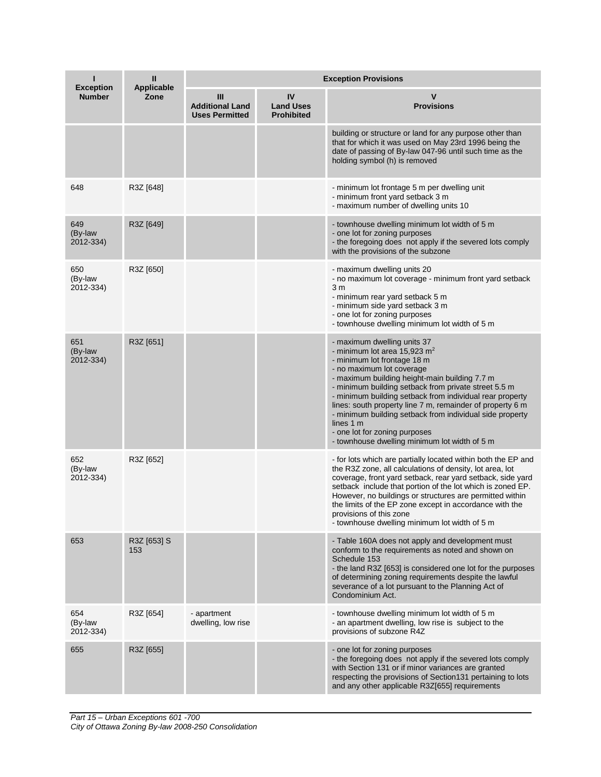| <b>Exception</b>            | Ш<br><b>Applicable</b> | <b>Exception Provisions</b>                          |                                             |                                                                                                                                                                                                                                                                                                                                                                                                                                                                                                                        |  |
|-----------------------------|------------------------|------------------------------------------------------|---------------------------------------------|------------------------------------------------------------------------------------------------------------------------------------------------------------------------------------------------------------------------------------------------------------------------------------------------------------------------------------------------------------------------------------------------------------------------------------------------------------------------------------------------------------------------|--|
| <b>Number</b>               | Zone                   | Ш<br><b>Additional Land</b><br><b>Uses Permitted</b> | IV<br><b>Land Uses</b><br><b>Prohibited</b> | ٧<br><b>Provisions</b>                                                                                                                                                                                                                                                                                                                                                                                                                                                                                                 |  |
|                             |                        |                                                      |                                             | building or structure or land for any purpose other than<br>that for which it was used on May 23rd 1996 being the<br>date of passing of By-law 047-96 until such time as the<br>holding symbol (h) is removed                                                                                                                                                                                                                                                                                                          |  |
| 648                         | R3Z [648]              |                                                      |                                             | - minimum lot frontage 5 m per dwelling unit<br>- minimum front yard setback 3 m<br>- maximum number of dwelling units 10                                                                                                                                                                                                                                                                                                                                                                                              |  |
| 649<br>(By-law<br>2012-334) | R3Z [649]              |                                                      |                                             | - townhouse dwelling minimum lot width of 5 m<br>- one lot for zoning purposes<br>- the foregoing does not apply if the severed lots comply<br>with the provisions of the subzone                                                                                                                                                                                                                                                                                                                                      |  |
| 650<br>(By-law<br>2012-334) | R3Z [650]              |                                                      |                                             | - maximum dwelling units 20<br>- no maximum lot coverage - minimum front yard setback<br>3 <sub>m</sub><br>- minimum rear yard setback 5 m<br>- minimum side yard setback 3 m<br>- one lot for zoning purposes<br>- townhouse dwelling minimum lot width of 5 m                                                                                                                                                                                                                                                        |  |
| 651<br>(By-law<br>2012-334) | R3Z [651]              |                                                      |                                             | - maximum dwelling units 37<br>- minimum lot area 15,923 $m2$<br>- minimum lot frontage 18 m<br>- no maximum lot coverage<br>- maximum building height-main building 7.7 m<br>- minimum building setback from private street 5.5 m<br>- minimum building setback from individual rear property<br>lines: south property line 7 m, remainder of property 6 m<br>- minimum building setback from individual side property<br>lines 1 m<br>- one lot for zoning purposes<br>- townhouse dwelling minimum lot width of 5 m |  |
| 652<br>(By-law<br>2012-334) | R3Z [652]              |                                                      |                                             | - for lots which are partially located within both the EP and<br>the R3Z zone, all calculations of density, lot area, lot<br>coverage, front yard setback, rear yard setback, side yard<br>setback include that portion of the lot which is zoned EP.<br>However, no buildings or structures are permitted within<br>the limits of the EP zone except in accordance with the<br>provisions of this zone<br>- townhouse dwelling minimum lot width of 5 m                                                               |  |
| 653                         | R3Z [653] S<br>153     |                                                      |                                             | - Table 160A does not apply and development must<br>conform to the requirements as noted and shown on<br>Schedule 153<br>- the land R3Z [653] is considered one lot for the purposes<br>of determining zoning requirements despite the lawful<br>severance of a lot pursuant to the Planning Act of<br>Condominium Act.                                                                                                                                                                                                |  |
| 654<br>(By-law<br>2012-334) | R3Z [654]              | - apartment<br>dwelling, low rise                    |                                             | - townhouse dwelling minimum lot width of 5 m<br>- an apartment dwelling, low rise is subject to the<br>provisions of subzone R4Z                                                                                                                                                                                                                                                                                                                                                                                      |  |
| 655                         | R3Z [655]              |                                                      |                                             | - one lot for zoning purposes<br>- the foregoing does not apply if the severed lots comply<br>with Section 131 or if minor variances are granted<br>respecting the provisions of Section131 pertaining to lots<br>and any other applicable R3Z[655] requirements                                                                                                                                                                                                                                                       |  |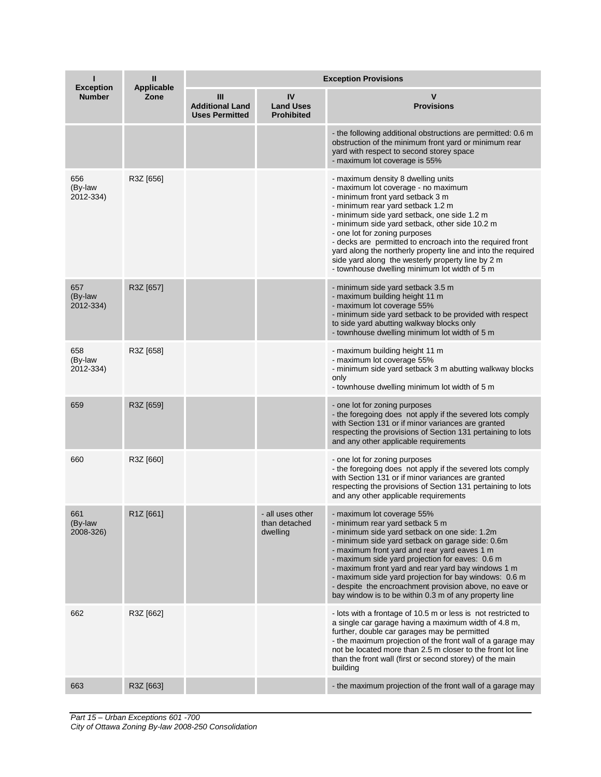| <b>Exception</b>            | Ш<br><b>Applicable</b> | <b>Exception Provisions</b>                          |                                               |                                                                                                                                                                                                                                                                                                                                                                                                                                                                                                                         |  |  |
|-----------------------------|------------------------|------------------------------------------------------|-----------------------------------------------|-------------------------------------------------------------------------------------------------------------------------------------------------------------------------------------------------------------------------------------------------------------------------------------------------------------------------------------------------------------------------------------------------------------------------------------------------------------------------------------------------------------------------|--|--|
| <b>Number</b>               | Zone                   | Ш<br><b>Additional Land</b><br><b>Uses Permitted</b> | IV<br><b>Land Uses</b><br><b>Prohibited</b>   | <b>Provisions</b>                                                                                                                                                                                                                                                                                                                                                                                                                                                                                                       |  |  |
|                             |                        |                                                      |                                               | - the following additional obstructions are permitted: 0.6 m<br>obstruction of the minimum front yard or minimum rear<br>yard with respect to second storey space<br>- maximum lot coverage is 55%                                                                                                                                                                                                                                                                                                                      |  |  |
| 656<br>(By-law<br>2012-334) | R3Z [656]              |                                                      |                                               | - maximum density 8 dwelling units<br>- maximum lot coverage - no maximum<br>- minimum front yard setback 3 m<br>- minimum rear yard setback 1.2 m<br>- minimum side yard setback, one side 1.2 m<br>- minimum side yard setback, other side 10.2 m<br>- one lot for zoning purposes<br>- decks are permitted to encroach into the required front<br>yard along the northerly property line and into the required<br>side yard along the westerly property line by 2 m<br>- townhouse dwelling minimum lot width of 5 m |  |  |
| 657<br>(By-law<br>2012-334) | R3Z [657]              |                                                      |                                               | - minimum side yard setback 3.5 m<br>- maximum building height 11 m<br>- maximum lot coverage 55%<br>- minimum side yard setback to be provided with respect<br>to side yard abutting walkway blocks only<br>- townhouse dwelling minimum lot width of 5 m                                                                                                                                                                                                                                                              |  |  |
| 658<br>(By-law<br>2012-334) | R3Z [658]              |                                                      |                                               | - maximum building height 11 m<br>- maximum lot coverage 55%<br>- minimum side yard setback 3 m abutting walkway blocks<br>only<br>- townhouse dwelling minimum lot width of 5 m                                                                                                                                                                                                                                                                                                                                        |  |  |
| 659                         | R3Z [659]              |                                                      |                                               | - one lot for zoning purposes<br>- the foregoing does not apply if the severed lots comply<br>with Section 131 or if minor variances are granted<br>respecting the provisions of Section 131 pertaining to lots<br>and any other applicable requirements                                                                                                                                                                                                                                                                |  |  |
| 660                         | R3Z [660]              |                                                      |                                               | - one lot for zoning purposes<br>- the foregoing does not apply if the severed lots comply<br>with Section 131 or if minor variances are granted<br>respecting the provisions of Section 131 pertaining to lots<br>and any other applicable requirements                                                                                                                                                                                                                                                                |  |  |
| 661<br>(By-law<br>2008-326) | R1Z [661]              |                                                      | - all uses other<br>than detached<br>dwelling | - maximum lot coverage 55%<br>- minimum rear yard setback 5 m<br>- minimum side yard setback on one side: 1.2m<br>- minimum side yard setback on garage side: 0.6m<br>- maximum front yard and rear yard eaves 1 m<br>- maximum side yard projection for eaves: 0.6 m<br>- maximum front yard and rear yard bay windows 1 m<br>- maximum side yard projection for bay windows: 0.6 m<br>- despite the encroachment provision above, no eave or<br>bay window is to be within 0.3 m of any property line                 |  |  |
| 662                         | R3Z [662]              |                                                      |                                               | - lots with a frontage of 10.5 m or less is not restricted to<br>a single car garage having a maximum width of 4.8 m,<br>further, double car garages may be permitted<br>- the maximum projection of the front wall of a garage may<br>not be located more than 2.5 m closer to the front lot line<br>than the front wall (first or second storey) of the main<br>building                                                                                                                                              |  |  |
| 663                         | R3Z [663]              |                                                      |                                               | - the maximum projection of the front wall of a garage may                                                                                                                                                                                                                                                                                                                                                                                                                                                              |  |  |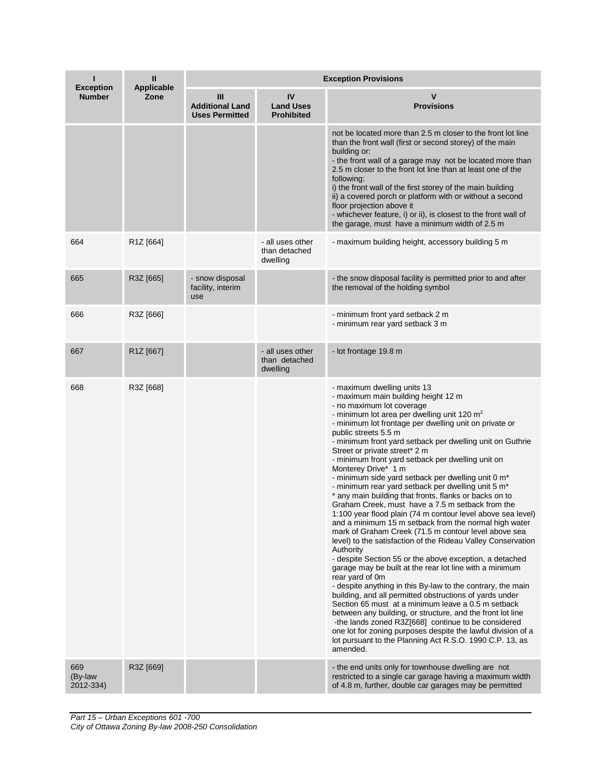| <b>Exception</b>            | Ш<br><b>Applicable</b> | <b>Exception Provisions</b>                          |                                               |                                                                                                                                                                                                                                                                                                                                                                                                                                                                                                                                                                                                                                                                                                                                                                                                                                                                                                                                                                                                                                                                                                                                                                                                                                                                                                                                                                                                                                                                                           |  |
|-----------------------------|------------------------|------------------------------------------------------|-----------------------------------------------|-------------------------------------------------------------------------------------------------------------------------------------------------------------------------------------------------------------------------------------------------------------------------------------------------------------------------------------------------------------------------------------------------------------------------------------------------------------------------------------------------------------------------------------------------------------------------------------------------------------------------------------------------------------------------------------------------------------------------------------------------------------------------------------------------------------------------------------------------------------------------------------------------------------------------------------------------------------------------------------------------------------------------------------------------------------------------------------------------------------------------------------------------------------------------------------------------------------------------------------------------------------------------------------------------------------------------------------------------------------------------------------------------------------------------------------------------------------------------------------------|--|
| <b>Number</b>               | Zone                   | Ш<br><b>Additional Land</b><br><b>Uses Permitted</b> | IV<br><b>Land Uses</b><br><b>Prohibited</b>   | v<br><b>Provisions</b>                                                                                                                                                                                                                                                                                                                                                                                                                                                                                                                                                                                                                                                                                                                                                                                                                                                                                                                                                                                                                                                                                                                                                                                                                                                                                                                                                                                                                                                                    |  |
|                             |                        |                                                      |                                               | not be located more than 2.5 m closer to the front lot line<br>than the front wall (first or second storey) of the main<br>building or:<br>- the front wall of a garage may not be located more than<br>2.5 m closer to the front lot line than at least one of the<br>following:<br>i) the front wall of the first storey of the main building<br>ii) a covered porch or platform with or without a second<br>floor projection above it<br>- whichever feature, i) or ii), is closest to the front wall of<br>the garage, must have a minimum width of 2.5 m                                                                                                                                                                                                                                                                                                                                                                                                                                                                                                                                                                                                                                                                                                                                                                                                                                                                                                                             |  |
| 664                         | R <sub>1</sub> Z [664] |                                                      | - all uses other<br>than detached<br>dwelling | - maximum building height, accessory building 5 m                                                                                                                                                                                                                                                                                                                                                                                                                                                                                                                                                                                                                                                                                                                                                                                                                                                                                                                                                                                                                                                                                                                                                                                                                                                                                                                                                                                                                                         |  |
| 665                         | R3Z [665]              | - snow disposal<br>facility, interim<br>use          |                                               | - the snow disposal facility is permitted prior to and after<br>the removal of the holding symbol                                                                                                                                                                                                                                                                                                                                                                                                                                                                                                                                                                                                                                                                                                                                                                                                                                                                                                                                                                                                                                                                                                                                                                                                                                                                                                                                                                                         |  |
| 666                         | R3Z [666]              |                                                      |                                               | - minimum front yard setback 2 m<br>- minimum rear yard setback 3 m                                                                                                                                                                                                                                                                                                                                                                                                                                                                                                                                                                                                                                                                                                                                                                                                                                                                                                                                                                                                                                                                                                                                                                                                                                                                                                                                                                                                                       |  |
| 667                         | R1Z [667]              |                                                      | - all uses other<br>than detached<br>dwelling | - lot frontage 19.8 m                                                                                                                                                                                                                                                                                                                                                                                                                                                                                                                                                                                                                                                                                                                                                                                                                                                                                                                                                                                                                                                                                                                                                                                                                                                                                                                                                                                                                                                                     |  |
| 668                         | R3Z [668]              |                                                      |                                               | - maximum dwelling units 13<br>- maximum main building height 12 m<br>- no maximum lot coverage<br>- minimum lot area per dwelling unit 120 $m2$<br>- minimum lot frontage per dwelling unit on private or<br>public streets 5.5 m<br>- minimum front yard setback per dwelling unit on Guthrie<br>Street or private street* 2 m<br>- minimum front yard setback per dwelling unit on<br>Monterey Drive* 1 m<br>- minimum side yard setback per dwelling unit 0 m*<br>- minimum rear yard setback per dwelling unit 5 m*<br>* any main building that fronts, flanks or backs on to<br>Graham Creek, must have a 7.5 m setback from the<br>1:100 year flood plain (74 m contour level above sea level)<br>and a minimum 15 m setback from the normal high water<br>mark of Graham Creek (71.5 m contour level above sea<br>level) to the satisfaction of the Rideau Valley Conservation<br>Authority<br>- despite Section 55 or the above exception, a detached<br>garage may be built at the rear lot line with a minimum<br>rear yard of 0m<br>- despite anything in this By-law to the contrary, the main<br>building, and all permitted obstructions of yards under<br>Section 65 must at a minimum leave a 0.5 m setback<br>between any building, or structure, and the front lot line<br>-the lands zoned R3Z[668] continue to be considered<br>one lot for zoning purposes despite the lawful division of a<br>lot pursuant to the Planning Act R.S.O. 1990 C.P. 13, as<br>amended. |  |
| 669<br>(By-law<br>2012-334) | R3Z [669]              |                                                      |                                               | - the end units only for townhouse dwelling are not<br>restricted to a single car garage having a maximum width<br>of 4.8 m, further, double car garages may be permitted                                                                                                                                                                                                                                                                                                                                                                                                                                                                                                                                                                                                                                                                                                                                                                                                                                                                                                                                                                                                                                                                                                                                                                                                                                                                                                                 |  |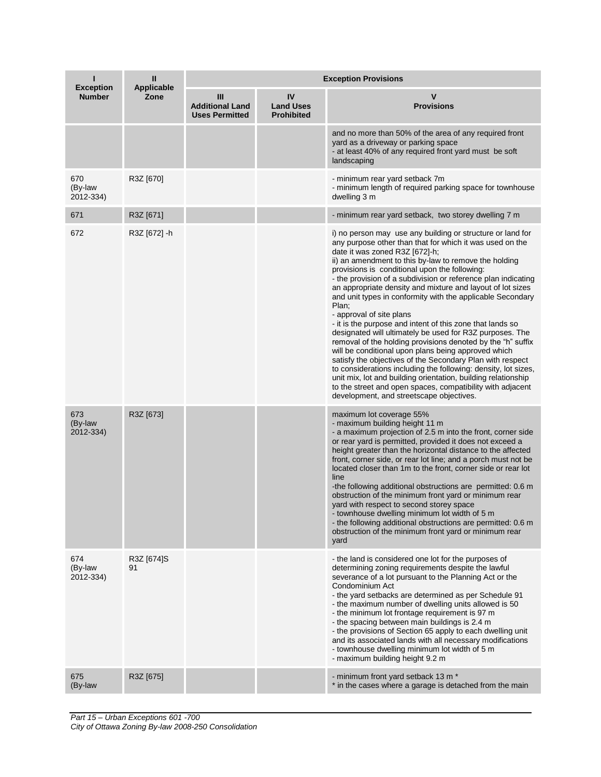| <b>Exception</b>            | Ш<br><b>Applicable</b> | <b>Exception Provisions</b>                          |                                             |                                                                                                                                                                                                                                                                                                                                                                                                                                                                                                                                                                                                                                                                                                                                                                                                                                                                                                                                                                                                                                                               |  |
|-----------------------------|------------------------|------------------------------------------------------|---------------------------------------------|---------------------------------------------------------------------------------------------------------------------------------------------------------------------------------------------------------------------------------------------------------------------------------------------------------------------------------------------------------------------------------------------------------------------------------------------------------------------------------------------------------------------------------------------------------------------------------------------------------------------------------------------------------------------------------------------------------------------------------------------------------------------------------------------------------------------------------------------------------------------------------------------------------------------------------------------------------------------------------------------------------------------------------------------------------------|--|
| <b>Number</b>               | Zone                   | Ш<br><b>Additional Land</b><br><b>Uses Permitted</b> | IV<br><b>Land Uses</b><br><b>Prohibited</b> | <b>Provisions</b>                                                                                                                                                                                                                                                                                                                                                                                                                                                                                                                                                                                                                                                                                                                                                                                                                                                                                                                                                                                                                                             |  |
|                             |                        |                                                      |                                             | and no more than 50% of the area of any required front<br>yard as a driveway or parking space<br>- at least 40% of any required front yard must be soft<br>landscaping                                                                                                                                                                                                                                                                                                                                                                                                                                                                                                                                                                                                                                                                                                                                                                                                                                                                                        |  |
| 670<br>(By-law<br>2012-334) | R3Z [670]              |                                                      |                                             | - minimum rear yard setback 7m<br>- minimum length of required parking space for townhouse<br>dwelling 3 m                                                                                                                                                                                                                                                                                                                                                                                                                                                                                                                                                                                                                                                                                                                                                                                                                                                                                                                                                    |  |
| 671                         | R3Z [671]              |                                                      |                                             | - minimum rear yard setback, two storey dwelling 7 m                                                                                                                                                                                                                                                                                                                                                                                                                                                                                                                                                                                                                                                                                                                                                                                                                                                                                                                                                                                                          |  |
| 672                         | R3Z [672] -h           |                                                      |                                             | i) no person may use any building or structure or land for<br>any purpose other than that for which it was used on the<br>date it was zoned R3Z [672]-h;<br>ii) an amendment to this by-law to remove the holding<br>provisions is conditional upon the following:<br>- the provision of a subdivision or reference plan indicating<br>an appropriate density and mixture and layout of lot sizes<br>and unit types in conformity with the applicable Secondary<br>Plan;<br>- approval of site plans<br>- it is the purpose and intent of this zone that lands so<br>designated will ultimately be used for R3Z purposes. The<br>removal of the holding provisions denoted by the "h" suffix<br>will be conditional upon plans being approved which<br>satisfy the objectives of the Secondary Plan with respect<br>to considerations including the following: density, lot sizes,<br>unit mix, lot and building orientation, building relationship<br>to the street and open spaces, compatibility with adjacent<br>development, and streetscape objectives. |  |
| 673<br>(By-law<br>2012-334) | R3Z [673]              |                                                      |                                             | maximum lot coverage 55%<br>- maximum building height 11 m<br>- a maximum projection of 2.5 m into the front, corner side<br>or rear yard is permitted, provided it does not exceed a<br>height greater than the horizontal distance to the affected<br>front, corner side, or rear lot line; and a porch must not be<br>located closer than 1m to the front, corner side or rear lot<br>line<br>-the following additional obstructions are permitted: 0.6 m<br>obstruction of the minimum front yard or minimum rear<br>yard with respect to second storey space<br>- townhouse dwelling minimum lot width of 5 m<br>- the following additional obstructions are permitted: 0.6 m<br>obstruction of the minimum front yard or minimum rear<br>yard                                                                                                                                                                                                                                                                                                           |  |
| 674<br>(By-law<br>2012-334) | R3Z [674]S<br>91       |                                                      |                                             | - the land is considered one lot for the purposes of<br>determining zoning requirements despite the lawful<br>severance of a lot pursuant to the Planning Act or the<br>Condominium Act<br>- the yard setbacks are determined as per Schedule 91<br>- the maximum number of dwelling units allowed is 50<br>- the minimum lot frontage requirement is 97 m<br>- the spacing between main buildings is 2.4 m<br>- the provisions of Section 65 apply to each dwelling unit<br>and its associated lands with all necessary modifications<br>- townhouse dwelling minimum lot width of 5 m<br>- maximum building height 9.2 m                                                                                                                                                                                                                                                                                                                                                                                                                                    |  |
| 675<br>(By-law              | R3Z [675]              |                                                      |                                             | - minimum front yard setback 13 m *<br>* in the cases where a garage is detached from the main                                                                                                                                                                                                                                                                                                                                                                                                                                                                                                                                                                                                                                                                                                                                                                                                                                                                                                                                                                |  |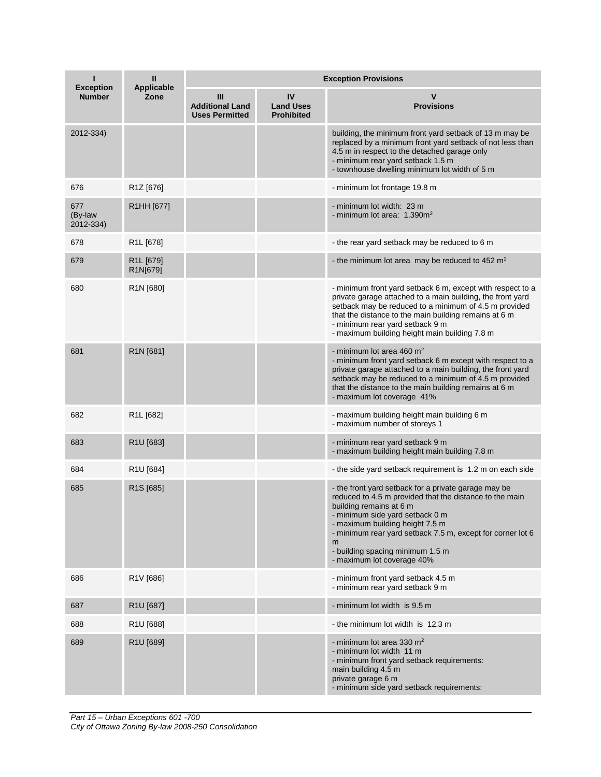| <b>Exception</b>            | Ш<br>Applicable                               | <b>Exception Provisions</b>                          |                                             |                                                                                                                                                                                                                                                                                                                                                       |  |  |
|-----------------------------|-----------------------------------------------|------------------------------------------------------|---------------------------------------------|-------------------------------------------------------------------------------------------------------------------------------------------------------------------------------------------------------------------------------------------------------------------------------------------------------------------------------------------------------|--|--|
| <b>Number</b>               | Zone                                          | Ш<br><b>Additional Land</b><br><b>Uses Permitted</b> | IV<br><b>Land Uses</b><br><b>Prohibited</b> | <b>Provisions</b>                                                                                                                                                                                                                                                                                                                                     |  |  |
| 2012-334)                   |                                               |                                                      |                                             | building, the minimum front yard setback of 13 m may be<br>replaced by a minimum front yard setback of not less than<br>4.5 m in respect to the detached garage only<br>- minimum rear yard setback 1.5 m<br>- townhouse dwelling minimum lot width of 5 m                                                                                            |  |  |
| 676                         | R1Z [676]                                     |                                                      |                                             | - minimum lot frontage 19.8 m                                                                                                                                                                                                                                                                                                                         |  |  |
| 677<br>(By-law<br>2012-334) | R1HH [677]                                    |                                                      |                                             | - minimum lot width: 23 m<br>- minimum lot area: $1,390m^2$                                                                                                                                                                                                                                                                                           |  |  |
| 678                         | R <sub>1</sub> L [678]                        |                                                      |                                             | - the rear yard setback may be reduced to 6 m                                                                                                                                                                                                                                                                                                         |  |  |
| 679                         | R <sub>1</sub> L <sub>[679]</sub><br>R1N[679] |                                                      |                                             | - the minimum lot area may be reduced to 452 m <sup>2</sup>                                                                                                                                                                                                                                                                                           |  |  |
| 680                         | R <sub>1</sub> N [680]                        |                                                      |                                             | - minimum front yard setback 6 m, except with respect to a<br>private garage attached to a main building, the front yard<br>setback may be reduced to a minimum of 4.5 m provided<br>that the distance to the main building remains at 6 m<br>- minimum rear yard setback 9 m<br>- maximum building height main building 7.8 m                        |  |  |
| 681                         | R <sub>1</sub> N <sub>[681]</sub>             |                                                      |                                             | - minimum lot area 460 $m2$<br>- minimum front yard setback 6 m except with respect to a<br>private garage attached to a main building, the front yard<br>setback may be reduced to a minimum of 4.5 m provided<br>that the distance to the main building remains at 6 m<br>- maximum lot coverage 41%                                                |  |  |
| 682                         | R <sub>1</sub> L [682]                        |                                                      |                                             | - maximum building height main building 6 m<br>- maximum number of storeys 1                                                                                                                                                                                                                                                                          |  |  |
| 683                         | R1U [683]                                     |                                                      |                                             | - minimum rear yard setback 9 m<br>- maximum building height main building 7.8 m                                                                                                                                                                                                                                                                      |  |  |
| 684                         | R1U [684]                                     |                                                      |                                             | - the side yard setback requirement is 1.2 m on each side                                                                                                                                                                                                                                                                                             |  |  |
| 685                         | R <sub>1</sub> S [685]                        |                                                      |                                             | - the front yard setback for a private garage may be<br>reduced to 4.5 m provided that the distance to the main<br>building remains at 6 m<br>- minimum side yard setback 0 m<br>- maximum building height 7.5 m<br>- minimum rear yard setback 7.5 m, except for corner lot 6<br>m<br>- building spacing minimum 1.5 m<br>- maximum lot coverage 40% |  |  |
| 686                         | R1V [686]                                     |                                                      |                                             | - minimum front yard setback 4.5 m<br>- minimum rear yard setback 9 m                                                                                                                                                                                                                                                                                 |  |  |
| 687                         | R1U [687]                                     |                                                      |                                             | - minimum lot width is 9.5 m                                                                                                                                                                                                                                                                                                                          |  |  |
| 688                         | R1U [688]                                     |                                                      |                                             | - the minimum lot width is 12.3 m                                                                                                                                                                                                                                                                                                                     |  |  |
| 689                         | R1U [689]                                     |                                                      |                                             | - minimum lot area 330 $m2$<br>- minimum lot width 11 m<br>- minimum front yard setback requirements:<br>main building 4.5 m<br>private garage 6 m<br>- minimum side yard setback requirements:                                                                                                                                                       |  |  |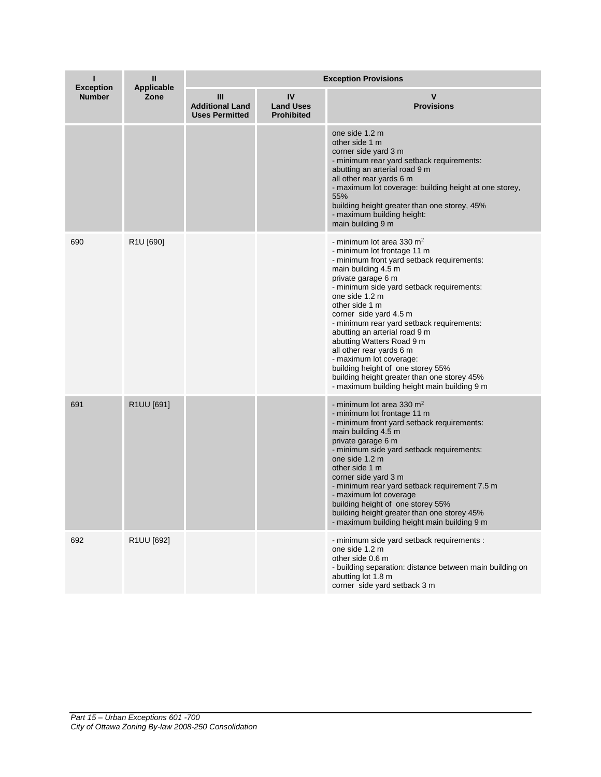| ı<br><b>Exception</b><br><b>Number</b> | Ш<br><b>Applicable</b><br>Zone | <b>Exception Provisions</b>                          |                                             |                                                                                                                                                                                                                                                                                                                                                                                                                                                                                                                                                                       |  |
|----------------------------------------|--------------------------------|------------------------------------------------------|---------------------------------------------|-----------------------------------------------------------------------------------------------------------------------------------------------------------------------------------------------------------------------------------------------------------------------------------------------------------------------------------------------------------------------------------------------------------------------------------------------------------------------------------------------------------------------------------------------------------------------|--|
|                                        |                                | Ш<br><b>Additional Land</b><br><b>Uses Permitted</b> | IV<br><b>Land Uses</b><br><b>Prohibited</b> | <b>Provisions</b>                                                                                                                                                                                                                                                                                                                                                                                                                                                                                                                                                     |  |
|                                        |                                |                                                      |                                             | one side 1.2 m<br>other side 1 m<br>corner side yard 3 m<br>- minimum rear yard setback requirements:<br>abutting an arterial road 9 m<br>all other rear yards 6 m<br>- maximum lot coverage: building height at one storey,<br>55%<br>building height greater than one storey, 45%<br>- maximum building height:<br>main building 9 m                                                                                                                                                                                                                                |  |
| 690                                    | R1U [690]                      |                                                      |                                             | - minimum lot area 330 $m2$<br>- minimum lot frontage 11 m<br>- minimum front yard setback requirements:<br>main building 4.5 m<br>private garage 6 m<br>- minimum side yard setback requirements:<br>one side 1.2 m<br>other side 1 m<br>corner side yard 4.5 m<br>- minimum rear yard setback requirements:<br>abutting an arterial road 9 m<br>abutting Watters Road 9 m<br>all other rear yards 6 m<br>- maximum lot coverage:<br>building height of one storey 55%<br>building height greater than one storey 45%<br>- maximum building height main building 9 m |  |
| 691                                    | R1UU [691]                     |                                                      |                                             | - minimum lot area 330 $m2$<br>- minimum lot frontage 11 m<br>- minimum front yard setback requirements:<br>main building 4.5 m<br>private garage 6 m<br>- minimum side yard setback requirements:<br>one side 1.2 m<br>other side 1 m<br>corner side yard 3 m<br>- minimum rear yard setback requirement 7.5 m<br>- maximum lot coverage<br>building height of one storey 55%<br>building height greater than one storey 45%<br>- maximum building height main building 9 m                                                                                          |  |
| 692                                    | R1UU [692]                     |                                                      |                                             | - minimum side yard setback requirements :<br>one side 1.2 m<br>other side 0.6 m<br>- building separation: distance between main building on<br>abutting lot 1.8 m<br>corner side yard setback 3 m                                                                                                                                                                                                                                                                                                                                                                    |  |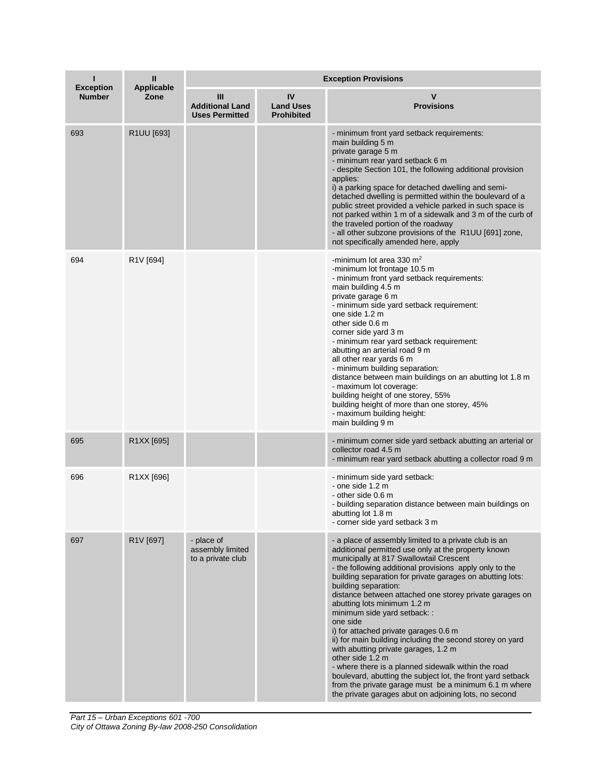| ı<br><b>Exception</b><br><b>Number</b> | Ш<br><b>Applicable</b><br>Zone | <b>Exception Provisions</b>                          |                                             |                                                                                                                                                                                                                                                                                                                                                                                                                                                                                                                                                                                                                                                                                                                                                                                                                                                         |
|----------------------------------------|--------------------------------|------------------------------------------------------|---------------------------------------------|---------------------------------------------------------------------------------------------------------------------------------------------------------------------------------------------------------------------------------------------------------------------------------------------------------------------------------------------------------------------------------------------------------------------------------------------------------------------------------------------------------------------------------------------------------------------------------------------------------------------------------------------------------------------------------------------------------------------------------------------------------------------------------------------------------------------------------------------------------|
|                                        |                                | Ш<br><b>Additional Land</b><br><b>Uses Permitted</b> | IV<br><b>Land Uses</b><br><b>Prohibited</b> | v<br><b>Provisions</b>                                                                                                                                                                                                                                                                                                                                                                                                                                                                                                                                                                                                                                                                                                                                                                                                                                  |
| 693                                    | R1UU [693]                     |                                                      |                                             | - minimum front yard setback requirements:<br>main building 5 m<br>private garage 5 m<br>- minimum rear yard setback 6 m<br>- despite Section 101, the following additional provision<br>applies:<br>i) a parking space for detached dwelling and semi-<br>detached dwelling is permitted within the boulevard of a<br>public street provided a vehicle parked in such space is<br>not parked within 1 m of a sidewalk and 3 m of the curb of<br>the traveled portion of the roadway<br>- all other subzone provisions of the R1UU [691] zone,<br>not specifically amended here, apply                                                                                                                                                                                                                                                                  |
| 694                                    | R1V [694]                      |                                                      |                                             | -minimum lot area 330 $m2$<br>-minimum lot frontage 10.5 m<br>- minimum front yard setback requirements:<br>main building 4.5 m<br>private garage 6 m<br>- minimum side yard setback requirement:<br>one side 1.2 m<br>other side 0.6 m<br>corner side yard 3 m<br>- minimum rear yard setback requirement:<br>abutting an arterial road 9 m<br>all other rear yards 6 m<br>- minimum building separation:<br>distance between main buildings on an abutting lot 1.8 m<br>- maximum lot coverage:<br>building height of one storey, 55%<br>building height of more than one storey, 45%<br>- maximum building height:<br>main building 9 m                                                                                                                                                                                                              |
| 695                                    | R1XX [695]                     |                                                      |                                             | - minimum corner side yard setback abutting an arterial or<br>collector road 4.5 m<br>- minimum rear yard setback abutting a collector road 9 m                                                                                                                                                                                                                                                                                                                                                                                                                                                                                                                                                                                                                                                                                                         |
| 696                                    | R1XX [696]                     |                                                      |                                             | - minimum side yard setback:<br>- one side 1.2 m<br>- other side 0.6 m<br>- building separation distance between main buildings on<br>abutting lot 1.8 m<br>- corner side yard setback 3 m                                                                                                                                                                                                                                                                                                                                                                                                                                                                                                                                                                                                                                                              |
| 697                                    | R1V [697]                      | - place of<br>assembly limited<br>to a private club  |                                             | - a place of assembly limited to a private club is an<br>additional permitted use only at the property known<br>municipally at 817 Swallowtail Crescent<br>- the following additional provisions apply only to the<br>building separation for private garages on abutting lots:<br>building separation:<br>distance between attached one storey private garages on<br>abutting lots minimum 1.2 m<br>minimum side yard setback: :<br>one side<br>i) for attached private garages 0.6 m<br>ii) for main building including the second storey on yard<br>with abutting private garages, 1.2 m<br>other side 1.2 m<br>- where there is a planned sidewalk within the road<br>boulevard, abutting the subject lot, the front yard setback<br>from the private garage must be a minimum 6.1 m where<br>the private garages abut on adjoining lots, no second |